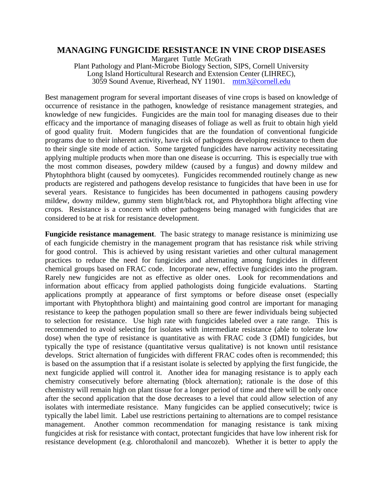## **MANAGING FUNGICIDE RESISTANCE IN VINE CROP DISEASES**

Margaret Tuttle McGrath Plant Pathology and Plant-Microbe Biology Section, SIPS, Cornell University Long Island Horticultural Research and Extension Center (LIHREC), 3059 Sound Avenue, Riverhead, NY 11901. [mtm3@cornell.edu](mailto:mtm3@cornell.edu)

Best management program for several important diseases of vine crops is based on knowledge of occurrence of resistance in the pathogen, knowledge of resistance management strategies, and knowledge of new fungicides. Fungicides are the main tool for managing diseases due to their efficacy and the importance of managing diseases of foliage as well as fruit to obtain high yield of good quality fruit. Modern fungicides that are the foundation of conventional fungicide programs due to their inherent activity, have risk of pathogens developing resistance to them due to their single site mode of action. Some targeted fungicides have narrow activity necessitating applying multiple products when more than one disease is occurring. This is especially true with the most common diseases, powdery mildew (caused by a fungus) and downy mildew and Phytophthora blight (caused by oomycetes). Fungicides recommended routinely change as new products are registered and pathogens develop resistance to fungicides that have been in use for several years. Resistance to fungicides has been documented in pathogens causing powdery mildew, downy mildew, gummy stem blight/black rot, and Phytophthora blight affecting vine crops. Resistance is a concern with other pathogens being managed with fungicides that are considered to be at risk for resistance development.

**Fungicide resistance management**. The basic strategy to manage resistance is minimizing use of each fungicide chemistry in the management program that has resistance risk while striving for good control. This is achieved by using resistant varieties and other cultural management practices to reduce the need for fungicides and alternating among fungicides in different chemical groups based on FRAC code. Incorporate new, effective fungicides into the program. Rarely new fungicides are not as effective as older ones. Look for recommendations and information about efficacy from applied pathologists doing fungicide evaluations. Starting applications promptly at appearance of first symptoms or before disease onset (especially important with Phytophthora blight) and maintaining good control are important for managing resistance to keep the pathogen population small so there are fewer individuals being subjected to selection for resistance. Use high rate with fungicides labeled over a rate range. This is recommended to avoid selecting for isolates with intermediate resistance (able to tolerate low dose) when the type of resistance is quantitative as with FRAC code 3 (DMI) fungicides, but typically the type of resistance (quantitative versus qualitative) is not known until resistance develops. Strict alternation of fungicides with different FRAC codes often is recommended; this is based on the assumption that if a resistant isolate is selected by applying the first fungicide, the next fungicide applied will control it. Another idea for managing resistance is to apply each chemistry consecutively before alternating (block alternation); rationale is the dose of this chemistry will remain high on plant tissue for a longer period of time and there will be only once after the second application that the dose decreases to a level that could allow selection of any isolates with intermediate resistance. Many fungicides can be applied consecutively; twice is typically the label limit. Label use restrictions pertaining to alternations are to compel resistance management. Another common recommendation for managing resistance is tank mixing fungicides at risk for resistance with contact, protectant fungicides that have low inherent risk for resistance development (e.g. chlorothalonil and mancozeb). Whether it is better to apply the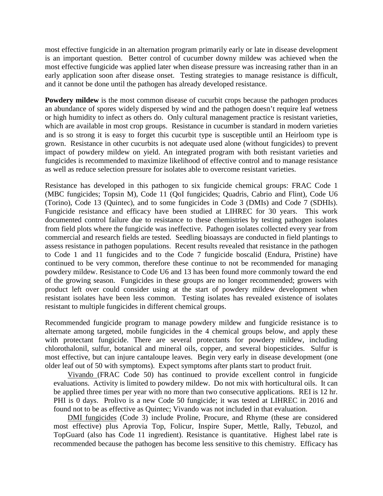most effective fungicide in an alternation program primarily early or late in disease development is an important question. Better control of cucumber downy mildew was achieved when the most effective fungicide was applied later when disease pressure was increasing rather than in an early application soon after disease onset. Testing strategies to manage resistance is difficult, and it cannot be done until the pathogen has already developed resistance.

**Powdery mildew** is the most common disease of cucurbit crops because the pathogen produces an abundance of spores widely dispersed by wind and the pathogen doesn't require leaf wetness or high humidity to infect as others do. Only cultural management practice is resistant varieties, which are available in most crop groups. Resistance in cucumber is standard in modern varieties and is so strong it is easy to forget this cucurbit type is susceptible until an Heirloom type is grown. Resistance in other cucurbits is not adequate used alone (without fungicides) to prevent impact of powdery mildew on yield. An integrated program with both resistant varieties and fungicides is recommended to maximize likelihood of effective control and to manage resistance as well as reduce selection pressure for isolates able to overcome resistant varieties.

Resistance has developed in this pathogen to six fungicide chemical groups: FRAC Code 1 (MBC fungicides; Topsin M), Code 11 (QoI fungicides; Quadris, Cabrio and Flint), Code U6 (Torino), Code 13 (Quintec), and to some fungicides in Code 3 (DMIs) and Code 7 (SDHIs). Fungicide resistance and efficacy have been studied at LIHREC for 30 years. This work documented control failure due to resistance to these chemistries by testing pathogen isolates from field plots where the fungicide was ineffective. Pathogen isolates collected every year from commercial and research fields are tested. Seedling bioassays are conducted in field plantings to assess resistance in pathogen populations. Recent results revealed that resistance in the pathogen to Code 1 and 11 fungicides and to the Code 7 fungicide boscalid (Endura, Pristine) have continued to be very common, therefore these continue to not be recommended for managing powdery mildew. Resistance to Code U6 and 13 has been found more commonly toward the end of the growing season. Fungicides in these groups are no longer recommended; growers with product left over could consider using at the start of powdery mildew development when resistant isolates have been less common. Testing isolates has revealed existence of isolates resistant to multiple fungicides in different chemical groups.

Recommended fungicide program to manage powdery mildew and fungicide resistance is to alternate among targeted, mobile fungicides in the 4 chemical groups below, and apply these with protectant fungicide. There are several protectants for powdery mildew, including chlorothalonil, sulfur, botanical and mineral oils, copper, and several biopesticides. Sulfur is most effective, but can injure cantaloupe leaves. Begin very early in disease development (one older leaf out of 50 with symptoms). Expect symptoms after plants start to product fruit.

Vivando (FRAC Code 50) has continued to provide excellent control in fungicide evaluations. Activity is limited to powdery mildew. Do not mix with horticultural oils. It can be applied three times per year with no more than two consecutive applications. REI is 12 hr. PHI is 0 days. Prolivo is a new Code 50 fungicide; it was tested at LIHREC in 2016 and found not to be as effective as Quintec; Vivando was not included in that evaluation.

DMI fungicides (Code 3) include Proline, Procure, and Rhyme (these are considered most effective) plus Aprovia Top, Folicur, Inspire Super, Mettle, Rally, Tebuzol, and TopGuard (also has Code 11 ingredient). Resistance is quantitative. Highest label rate is recommended because the pathogen has become less sensitive to this chemistry. Efficacy has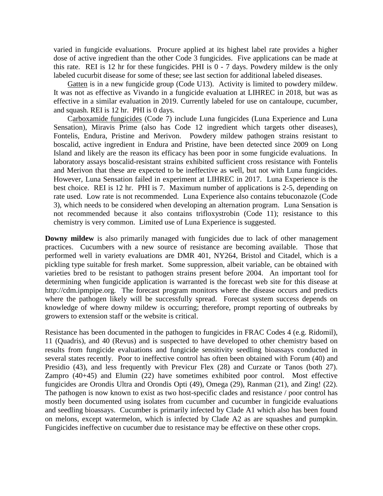varied in fungicide evaluations. Procure applied at its highest label rate provides a higher dose of active ingredient than the other Code 3 fungicides. Five applications can be made at this rate. REI is 12 hr for these fungicides. PHI is  $0 - 7$  days. Powdery mildew is the only labeled cucurbit disease for some of these; see last section for additional labeled diseases.

Gatten is in a new fungicide group (Code U13). Activity is limited to powdery mildew. It was not as effective as Vivando in a fungicide evaluation at LIHREC in 2018, but was as effective in a similar evaluation in 2019. Currently labeled for use on cantaloupe, cucumber, and squash. REI is 12 hr. PHI is 0 days.

Carboxamide fungicides (Code 7) include Luna fungicides (Luna Experience and Luna Sensation), Miravis Prime (also has Code 12 ingredient which targets other diseases), Fontelis, Endura, Pristine and Merivon. Powdery mildew pathogen strains resistant to boscalid, active ingredient in Endura and Pristine, have been detected since 2009 on Long Island and likely are the reason its efficacy has been poor in some fungicide evaluations. In laboratory assays boscalid-resistant strains exhibited sufficient cross resistance with Fontelis and Merivon that these are expected to be ineffective as well, but not with Luna fungicides. However, Luna Sensation failed in experiment at LIHREC in 2017. Luna Experience is the best choice. REI is 12 hr. PHI is 7. Maximum number of applications is 2-5, depending on rate used. Low rate is not recommended. Luna Experience also contains tebuconazole (Code 3), which needs to be considered when developing an alternation program. Luna Sensation is not recommended because it also contains trifloxystrobin (Code 11); resistance to this chemistry is very common. Limited use of Luna Experience is suggested.

**Downy mildew** is also primarily managed with fungicides due to lack of other management practices. Cucumbers with a new source of resistance are becoming available. Those that performed well in variety evaluations are DMR 401, NY264, Bristol and Citadel, which is a pickling type suitable for fresh market. Some suppression, albeit variable, can be obtained with varieties bred to be resistant to pathogen strains present before 2004. An important tool for determining when fungicide application is warranted is the forecast web site for this disease at http://cdm.ipmpipe.org. The forecast program monitors where the disease occurs and predicts where the pathogen likely will be successfully spread. Forecast system success depends on knowledge of where downy mildew is occurring; therefore, prompt reporting of outbreaks by growers to extension staff or the website is critical.

Resistance has been documented in the pathogen to fungicides in FRAC Codes 4 (e.g. Ridomil), 11 (Quadris), and 40 (Revus) and is suspected to have developed to other chemistry based on results from fungicide evaluations and fungicide sensitivity seedling bioassays conducted in several states recently. Poor to ineffective control has often been obtained with Forum (40) and Presidio (43), and less frequently with Previcur Flex (28) and Curzate or Tanos (both 27). Zampro (40+45) and Elumin (22) have sometimes exhibited poor control. Most effective fungicides are Orondis Ultra and Orondis Opti (49), Omega (29), Ranman (21), and Zing! (22). The pathogen is now known to exist as two host-specific clades and resistance / poor control has mostly been documented using isolates from cucumber and cucumber in fungicide evaluations and seedling bioassays. Cucumber is primarily infected by Clade A1 which also has been found on melons, except watermelon, which is infected by Clade A2 as are squashes and pumpkin. Fungicides ineffective on cucumber due to resistance may be effective on these other crops.